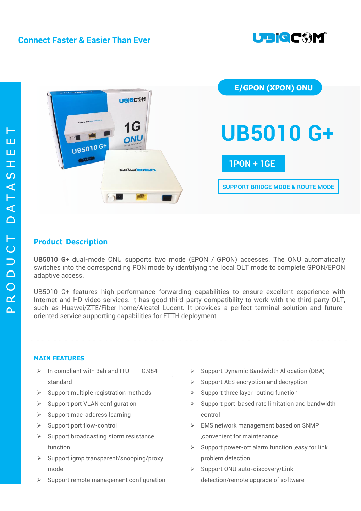



# **Product Description**

**UB5010 G+** dual-mode ONU supports two mode (EPON / GPON) accesses. The ONU automatically switches into the corresponding PON mode by identifying the local OLT mode to complete GPON/EPON adaptive access.

UB5010 G+ features high-performance forwarding capabilities to ensure excellent experience with Internet and HD video services. It has good third-party compatibility to work with the third party OLT, such as Huawei/ZTE/Fiber-home/Alcatel-Lucent. It provides a perfect terminal solution and futureoriented service supporting capabilities for FTTH deployment.

# **MAIN FEATURES**

- $\triangleright$  In compliant with 3ah and ITU T G.984 standard
- $\triangleright$  Support multiple registration methods
- $\triangleright$  Support port VLAN configuration
- $\triangleright$  Support mac-address learning
- $\triangleright$  Support port flow-control
- $\triangleright$  Support broadcasting storm resistance function
- $\triangleright$  Support igmp transparent/snooping/proxy mode
- Support remote management configuration
- $\triangleright$  Support Dynamic Bandwidth Allocation (DBA)
- $\triangleright$  Support AES encryption and decryption
- $\triangleright$  Support three layer routing function
- $\triangleright$  Support port-based rate limitation and bandwidth control
- EMS network management based on SNMP ,convenient for maintenance
- $\triangleright$  Support power-off alarm function , easy for link problem detection
- $\triangleright$  Support ONU auto-discovery/Link detection/remote upgrade of software